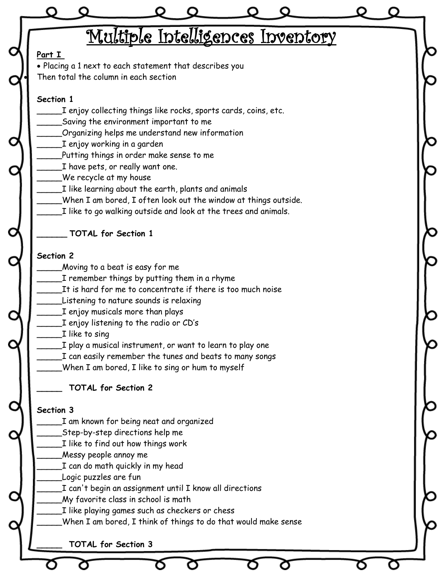|                                                                 |                                                                                                                                    |  | Multiple Intelligences Inventory |  |  |
|-----------------------------------------------------------------|------------------------------------------------------------------------------------------------------------------------------------|--|----------------------------------|--|--|
| Part I                                                          |                                                                                                                                    |  |                                  |  |  |
|                                                                 | • Placing a 1 next to each statement that describes you<br>Then total the column in each section                                   |  |                                  |  |  |
|                                                                 |                                                                                                                                    |  |                                  |  |  |
| Section 1                                                       |                                                                                                                                    |  |                                  |  |  |
| I enjoy collecting things like rocks, sports cards, coins, etc. |                                                                                                                                    |  |                                  |  |  |
|                                                                 | Saving the environment important to me                                                                                             |  |                                  |  |  |
|                                                                 | Organizing helps me understand new information                                                                                     |  |                                  |  |  |
|                                                                 | I enjoy working in a garden                                                                                                        |  |                                  |  |  |
|                                                                 | Putting things in order make sense to me                                                                                           |  |                                  |  |  |
|                                                                 | I have pets, or really want one.<br>We recycle at my house                                                                         |  |                                  |  |  |
|                                                                 | I like learning about the earth, plants and animals                                                                                |  |                                  |  |  |
|                                                                 |                                                                                                                                    |  |                                  |  |  |
|                                                                 | When I am bored, I often look out the window at things outside.<br>I like to go walking outside and look at the trees and animals. |  |                                  |  |  |
|                                                                 |                                                                                                                                    |  |                                  |  |  |
|                                                                 | <b>TOTAL for Section 1</b>                                                                                                         |  |                                  |  |  |
|                                                                 |                                                                                                                                    |  |                                  |  |  |
| Section 2                                                       |                                                                                                                                    |  |                                  |  |  |
|                                                                 | Moving to a beat is easy for me                                                                                                    |  |                                  |  |  |
|                                                                 | I remember things by putting them in a rhyme<br>It is hard for me to concentrate if there is too much noise                        |  |                                  |  |  |
|                                                                 | Listening to nature sounds is relaxing                                                                                             |  |                                  |  |  |
|                                                                 | I enjoy musicals more than plays                                                                                                   |  |                                  |  |  |
|                                                                 | I enjoy listening to the radio or CD's                                                                                             |  |                                  |  |  |
|                                                                 | I like to sing                                                                                                                     |  |                                  |  |  |
|                                                                 | I play a musical instrument, or want to learn to play one                                                                          |  |                                  |  |  |
|                                                                 | I can easily remember the tunes and beats to many songs                                                                            |  |                                  |  |  |
|                                                                 | When I am bored, I like to sing or hum to myself                                                                                   |  |                                  |  |  |
|                                                                 | <b>TOTAL for Section 2</b>                                                                                                         |  |                                  |  |  |
|                                                                 |                                                                                                                                    |  |                                  |  |  |
| Section 3                                                       |                                                                                                                                    |  |                                  |  |  |
|                                                                 | I am known for being neat and organized                                                                                            |  |                                  |  |  |
|                                                                 | Step-by-step directions help me                                                                                                    |  |                                  |  |  |
|                                                                 | I like to find out how things work                                                                                                 |  |                                  |  |  |
|                                                                 | Messy people annoy me                                                                                                              |  |                                  |  |  |
|                                                                 | I can do math quickly in my head<br>Logic puzzles are fun                                                                          |  |                                  |  |  |
|                                                                 | I can't begin an assignment until I know all directions                                                                            |  |                                  |  |  |
|                                                                 | My favorite class in school is math                                                                                                |  |                                  |  |  |
|                                                                 | I like playing games such as checkers or chess                                                                                     |  |                                  |  |  |
|                                                                 | When I am bored, I think of things to do that would make sense                                                                     |  |                                  |  |  |
|                                                                 |                                                                                                                                    |  |                                  |  |  |
|                                                                 | <b>TOTAL for Section 3</b>                                                                                                         |  |                                  |  |  |
|                                                                 |                                                                                                                                    |  |                                  |  |  |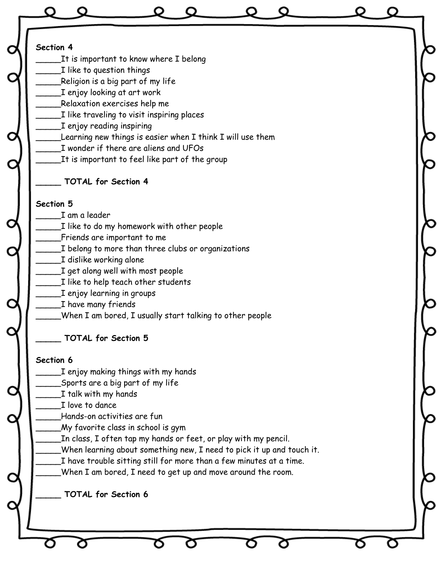| Section 4                         | It is important to know where $I$ belong                              |  |  |
|-----------------------------------|-----------------------------------------------------------------------|--|--|
| I like to question things         |                                                                       |  |  |
| Religion is a big part of my life |                                                                       |  |  |
| I enjoy looking at art work       |                                                                       |  |  |
| Relaxation exercises help me      |                                                                       |  |  |
|                                   | I like traveling to visit inspiring places                            |  |  |
| I enjoy reading inspiring         |                                                                       |  |  |
|                                   | Learning new things is easier when I think I will use them            |  |  |
|                                   | I wonder if there are aliens and UFOs                                 |  |  |
|                                   | It is important to feel like part of the group                        |  |  |
| <b>TOTAL for Section 4</b>        |                                                                       |  |  |
| Section 5                         |                                                                       |  |  |
| I am a leader                     |                                                                       |  |  |
|                                   | I like to do my homework with other people                            |  |  |
| Friends are important to me       |                                                                       |  |  |
|                                   | I belong to more than three clubs or organizations                    |  |  |
| I dislike working alone           |                                                                       |  |  |
| I get along well with most people |                                                                       |  |  |
|                                   | I like to help teach other students                                   |  |  |
| I enjoy learning in groups        |                                                                       |  |  |
| I have many friends               |                                                                       |  |  |
|                                   | When I am bored, I usually start talking to other people              |  |  |
| <b>TOTAL for Section 5</b>        |                                                                       |  |  |
| Section 6                         |                                                                       |  |  |
|                                   | I enjoy making things with my hands                                   |  |  |
| Sports are a big part of my life  |                                                                       |  |  |
| I talk with my hands              |                                                                       |  |  |
| I love to dance                   |                                                                       |  |  |
| Hands-on activities are fun       |                                                                       |  |  |
|                                   | My favorite class in school is gym                                    |  |  |
|                                   | In class, I often tap my hands or feet, or play with my pencil.       |  |  |
|                                   | When learning about something new, I need to pick it up and touch it. |  |  |
|                                   | I have trouble sitting still for more than a few minutes at a time.   |  |  |
|                                   | When I am bored, I need to get up and move around the room.           |  |  |
|                                   |                                                                       |  |  |
| <b>TOTAL for Section 6</b>        |                                                                       |  |  |
|                                   |                                                                       |  |  |
|                                   |                                                                       |  |  |
|                                   |                                                                       |  |  |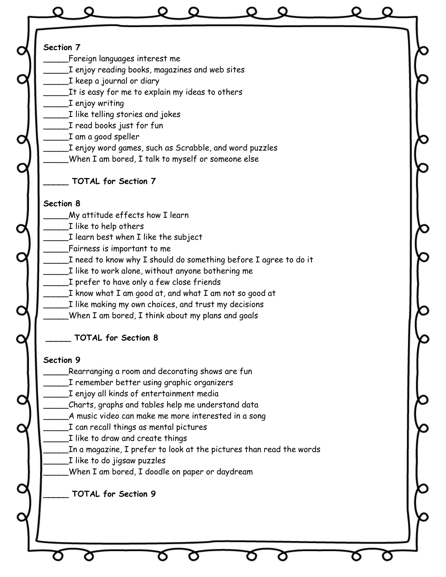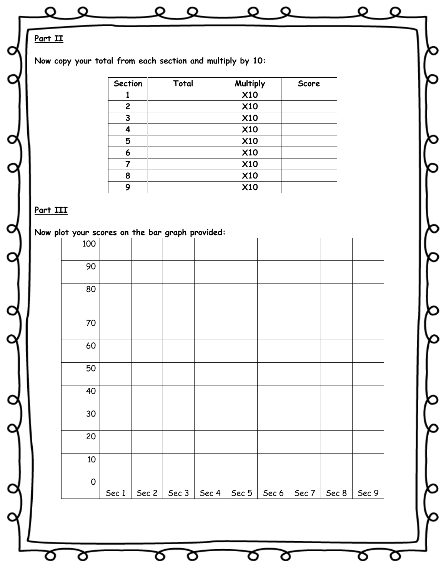| O        | Q                                                         |                              | $\circ$ $\circ$ |                       | O                        | Q             |         |               | O |
|----------|-----------------------------------------------------------|------------------------------|-----------------|-----------------------|--------------------------|---------------|---------|---------------|---|
| Part II  |                                                           |                              |                 |                       |                          |               |         |               |   |
|          | Now copy your total from each section and multiply by 10: |                              |                 |                       |                          |               |         |               |   |
|          |                                                           | Section                      | Total           |                       | Multiply                 |               | Score   |               |   |
|          |                                                           | $\mathbf{1}$<br>$\mathbf{2}$ |                 |                       | <b>X10</b><br><b>X10</b> |               |         |               |   |
|          |                                                           | $\mathbf{3}$                 |                 |                       | <b>X10</b>               |               |         |               |   |
|          |                                                           | $\overline{\mathbf{4}}$      |                 |                       | <b>X10</b>               |               |         |               |   |
|          |                                                           | 5<br>$\boldsymbol{6}$        |                 |                       | <b>X10</b><br><b>X10</b> |               |         |               |   |
|          |                                                           | $\overline{7}$               |                 |                       | <b>X10</b>               |               |         |               |   |
|          |                                                           | 8<br>9                       |                 |                       | <b>X10</b><br><b>X10</b> |               |         |               |   |
|          |                                                           |                              |                 |                       |                          |               |         |               |   |
| Part III | Now plot your scores on the bar graph provided:           |                              |                 |                       |                          |               |         |               |   |
|          | 100                                                       |                              |                 |                       |                          |               |         |               |   |
|          | 90                                                        |                              |                 |                       |                          |               |         |               |   |
|          | 80                                                        |                              |                 |                       |                          |               |         |               |   |
|          | 70                                                        |                              |                 |                       |                          |               |         |               |   |
|          | 60                                                        |                              |                 |                       |                          |               |         |               |   |
|          | 50                                                        |                              |                 |                       |                          |               |         |               |   |
|          | 40                                                        |                              |                 |                       |                          |               |         |               |   |
|          | 30                                                        |                              |                 |                       |                          |               |         |               |   |
|          | 20                                                        |                              |                 |                       |                          |               |         |               |   |
|          | $10$                                                      |                              |                 |                       |                          |               |         |               |   |
|          | $\pmb{0}$                                                 | Sec 1                        |                 | Sec 2   Sec 3   Sec 4 |                          | Sec $5$ Sec 6 | Sec $7$ | Sec $8$ Sec 9 |   |
|          |                                                           |                              |                 |                       |                          |               |         |               |   |

ర

Ծ

চ

σ

O

O

ৰ্ত

Ø